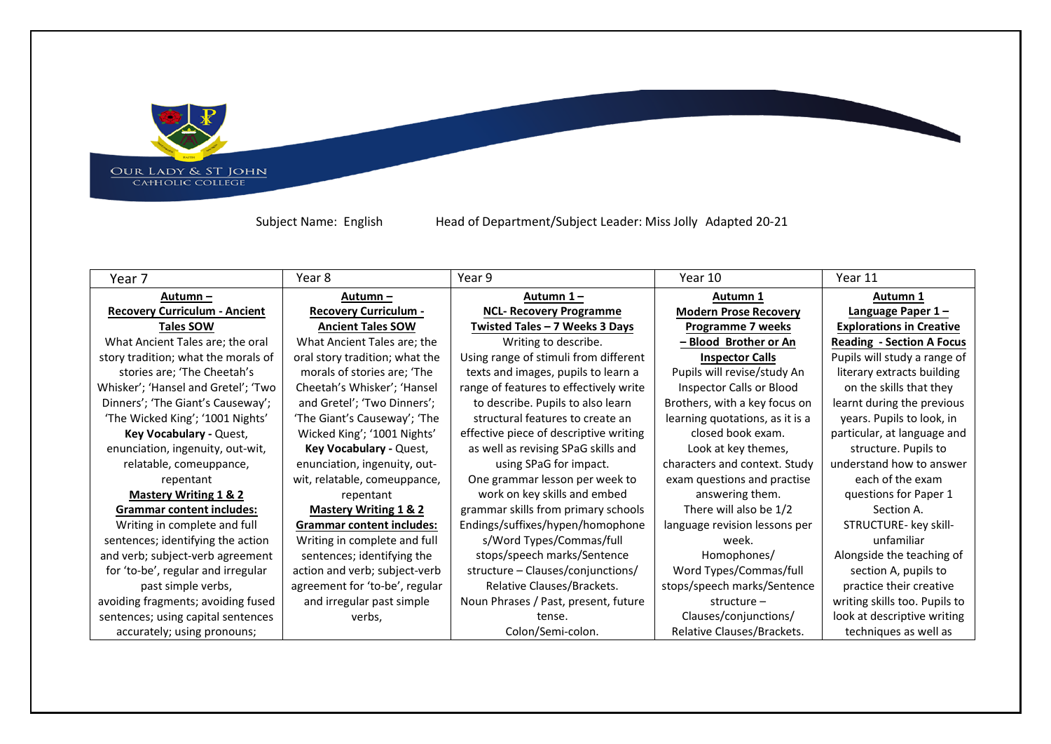OUR LADY & ST JOHN<br>CAHOLIC COLLEGE

Subject Name: English Head of Department/Subject Leader: Miss Jolly Adapted 20-21

**State** 

| Year 7                               | Year 8                           | Year 9                                 | Year 10                         | Year 11                          |
|--------------------------------------|----------------------------------|----------------------------------------|---------------------------------|----------------------------------|
| Autumn –                             | Autumn –                         | Autumn 1-                              | Autumn 1                        | Autumn 1                         |
| <b>Recovery Curriculum - Ancient</b> | <b>Recovery Curriculum -</b>     | <b>NCL- Recovery Programme</b>         | <b>Modern Prose Recovery</b>    | Language Paper 1-                |
| <b>Tales SOW</b>                     | <b>Ancient Tales SOW</b>         | Twisted Tales - 7 Weeks 3 Days         | <b>Programme 7 weeks</b>        | <b>Explorations in Creative</b>  |
| What Ancient Tales are; the oral     | What Ancient Tales are; the      | Writing to describe.                   | <u>– Blood Brother or An</u>    | <b>Reading - Section A Focus</b> |
| story tradition; what the morals of  | oral story tradition; what the   | Using range of stimuli from different  | <b>Inspector Calls</b>          | Pupils will study a range of     |
| stories are; 'The Cheetah's          | morals of stories are; 'The      | texts and images, pupils to learn a    | Pupils will revise/study An     | literary extracts building       |
| Whisker'; 'Hansel and Gretel'; 'Two  | Cheetah's Whisker'; 'Hansel      | range of features to effectively write | Inspector Calls or Blood        | on the skills that they          |
| Dinners'; 'The Giant's Causeway';    | and Gretel'; 'Two Dinners';      | to describe. Pupils to also learn      | Brothers, with a key focus on   | learnt during the previous       |
| 'The Wicked King'; '1001 Nights'     | 'The Giant's Causeway'; 'The     | structural features to create an       | learning quotations, as it is a | years. Pupils to look, in        |
| Key Vocabulary - Quest,              | Wicked King'; '1001 Nights'      | effective piece of descriptive writing | closed book exam.               | particular, at language and      |
| enunciation, ingenuity, out-wit,     | Key Vocabulary - Quest,          | as well as revising SPaG skills and    | Look at key themes,             | structure. Pupils to             |
| relatable, comeuppance,              | enunciation, ingenuity, out-     | using SPaG for impact.                 | characters and context. Study   | understand how to answer         |
| repentant                            | wit, relatable, comeuppance,     | One grammar lesson per week to         | exam questions and practise     | each of the exam                 |
| <b>Mastery Writing 1 &amp; 2</b>     | repentant                        | work on key skills and embed           | answering them.                 | questions for Paper 1            |
| <b>Grammar content includes:</b>     | <b>Mastery Writing 1 &amp; 2</b> | grammar skills from primary schools    | There will also be 1/2          | Section A.                       |
| Writing in complete and full         | <b>Grammar content includes:</b> | Endings/suffixes/hypen/homophone       | language revision lessons per   | STRUCTURE- key skill-            |
| sentences; identifying the action    | Writing in complete and full     | s/Word Types/Commas/full               | week.                           | unfamiliar                       |
| and verb; subject-verb agreement     | sentences; identifying the       | stops/speech marks/Sentence            | Homophones/                     | Alongside the teaching of        |
| for 'to-be', regular and irregular   | action and verb; subject-verb    | structure - Clauses/conjunctions/      | Word Types/Commas/full          | section A, pupils to             |
| past simple verbs,                   | agreement for 'to-be', regular   | Relative Clauses/Brackets.             | stops/speech marks/Sentence     | practice their creative          |
| avoiding fragments; avoiding fused   | and irregular past simple        | Noun Phrases / Past, present, future   | $structure -$                   | writing skills too. Pupils to    |
| sentences; using capital sentences   | verbs,                           | tense.                                 | Clauses/conjunctions/           | look at descriptive writing      |
| accurately; using pronouns;          |                                  | Colon/Semi-colon.                      | Relative Clauses/Brackets.      | techniques as well as            |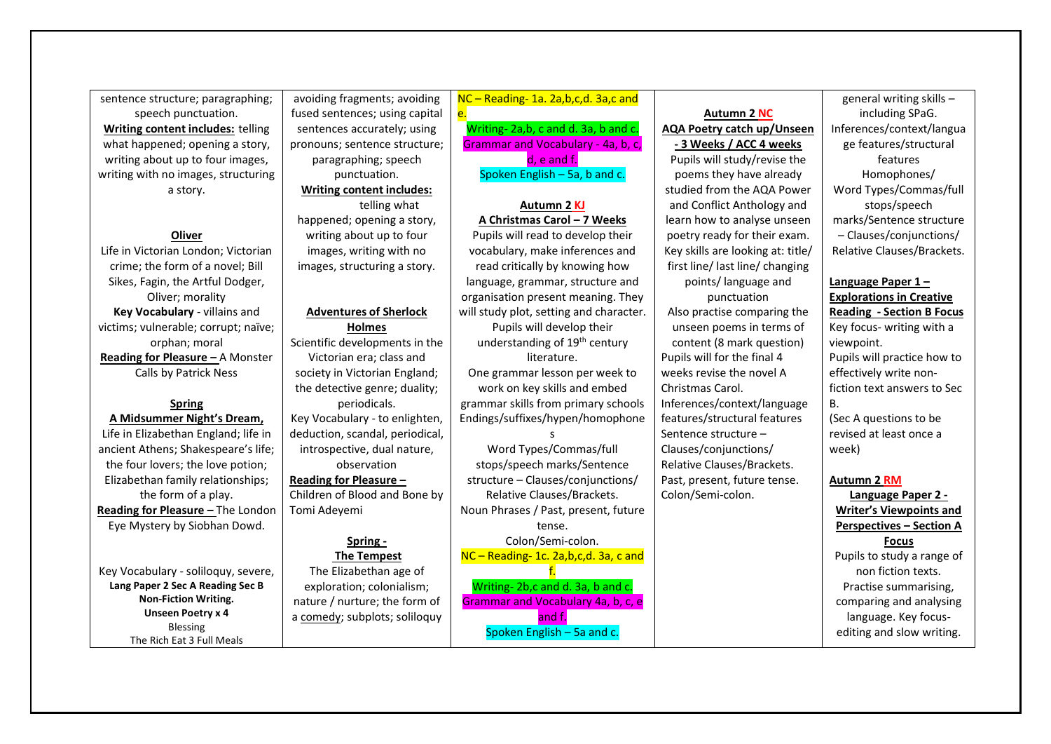sentence structure; paragraphing; speech punctuation. **Writing content includes:** telling what happened; opening a story, writing about up to four images, writing with no images, structuring a story.

#### **Oliver**

Life in Victorian London; Victorian crime; the form of a novel; Bill Sikes, Fagin, the Artful Dodger, Oliver; morality **Key Vocabulary** - villains and victims; vulnerable; corrupt; naïve; orphan; moral **Reading for Pleasure –** A Monster Calls by Patrick Ness

# **Spring**

**A Midsummer Night's Dream,**  Life in Elizabethan England; life in ancient Athens; Shakespeare's life; the four lovers; the love potion; Elizabethan family relationships; the form of a play. **Reading for Pleasure – The London** Eye Mystery by Siobhan Dowd.

Key Vocabulary - soliloquy, severe, **Lang Paper 2 Sec A Reading Sec B Non-Fiction Writing. Unseen Poetry x 4** Blessing The Rich Eat 3 Full Meals

avoiding fragments; avoiding fused sentences; using capital sentences accurately; using pronouns; sentence structure; paragraphing; speech punctuation. **Writing content includes:** telling what happened; opening a story, writing about up to four images, writing with no images, structuring a story. **Adventures of Sherlock Holmes**  Scientific developments in the Victorian era; class and society in Victorian England; the detective genre; duality; periodicals. Key Vocabulary - to enlighten, deduction, scandal, periodical,

## observation **Reading for Pleasure –**

introspective, dual nature,

Children of Blood and Bone by Tomi Adeyemi

#### **Spring -**

**The Tempest** The Elizabethan age of exploration; colonialism; nature / nurture; the form of a comedy; subplots; soliloquy

NC – Reading- 1a. 2a,b,c,d. 3a,c and e.

Writing- 2a,b, c and d. 3a, b and c. Grammar and Vocabulary - 4a, b, c, d, e and f. Spoken English – 5a, b and c.

#### **Autumn 2 KJ A Christmas Carol – 7 Weeks**

Pupils will read to develop their vocabulary, make inferences and read critically by knowing how language, grammar, structure and organisation present meaning. They will study plot, setting and character. Pupils will develop their understanding of 19th century literature.

One grammar lesson per week to work on key skills and embed grammar skills from primary schools Endings/suffixes/hypen/homophone

s

Word Types/Commas/full stops/speech marks/Sentence structure – Clauses/conjunctions/ Relative Clauses/Brackets. Noun Phrases / Past, present, future tense.

Colon/Semi-colon.

NC – Reading- 1c. 2a,b,c,d. 3a, c and

f. Writing- 2b,c and d. 3a, b and c. Grammar and Vocabulary 4a, b, c, e and f. Spoken English – 5a and c.

## **Autumn 2 NC AQA Poetry catch up/Unseen - 3 Weeks / ACC 4 weeks**

Pupils will study/revise the poems they have already studied from the AQA Power and Conflict Anthology and learn how to analyse unseen poetry ready for their exam. Key skills are looking at: title/ first line/ last line/ changing points/ language and punctuation Also practise comparing the unseen poems in terms of content (8 mark question) Pupils will for the final 4 weeks revise the novel A Christmas Carol. Inferences/context/language features/structural features Sentence structure – Clauses/conjunctions/ Relative Clauses/Brackets. Past, present, future tense. Colon/Semi-colon.

general writing skills – including SPaG. Inferences/context/langua ge features/structural features Homophones/ Word Types/Commas/full stops/speech marks/Sentence structure – Clauses/conjunctions/ Relative Clauses/Brackets.

## **Language Paper 1 – Explorations in Creative**

**Reading - Section B Focus** Key focus- writing with a viewpoint. Pupils will practice how to effectively write nonfiction text answers to Sec B. (Sec A questions to be revised at least once a

# week)

### **Autumn 2 RM**

**Language Paper 2 - Writer's Viewpoints and Perspectives – Section A Focus** Pupils to study a range of non fiction texts. Practise summarising, comparing and analysing language. Key focusediting and slow writing.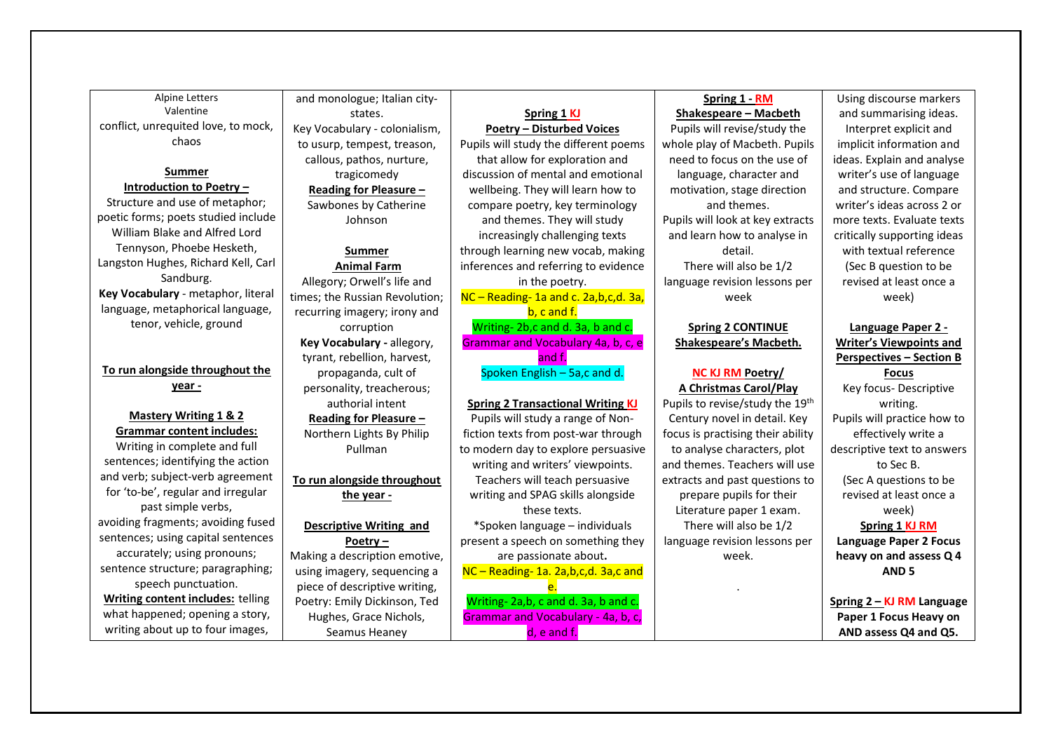| <b>Alpine Letters</b>                    | and monologue; Italian city-   |                                          | Spring 1 - RM                     | Using discourse markers         |
|------------------------------------------|--------------------------------|------------------------------------------|-----------------------------------|---------------------------------|
| Valentine                                | states.                        | Spring 1 KJ                              | <b>Shakespeare - Macbeth</b>      | and summarising ideas.          |
| conflict, unrequited love, to mock,      | Key Vocabulary - colonialism,  | <b>Poetry - Disturbed Voices</b>         | Pupils will revise/study the      | Interpret explicit and          |
| chaos                                    | to usurp, tempest, treason,    | Pupils will study the different poems    | whole play of Macbeth. Pupils     | implicit information and        |
|                                          | callous, pathos, nurture,      | that allow for exploration and           | need to focus on the use of       | ideas. Explain and analyse      |
| Summer                                   | tragicomedy                    | discussion of mental and emotional       | language, character and           | writer's use of language        |
| <b>Introduction to Poetry -</b>          | Reading for Pleasure -         | wellbeing. They will learn how to        | motivation, stage direction       | and structure. Compare          |
| Structure and use of metaphor;           | Sawbones by Catherine          | compare poetry, key terminology          | and themes.                       | writer's ideas across 2 or      |
| poetic forms; poets studied include      | Johnson                        | and themes. They will study              | Pupils will look at key extracts  | more texts. Evaluate texts      |
| William Blake and Alfred Lord            |                                | increasingly challenging texts           | and learn how to analyse in       | critically supporting ideas     |
| Tennyson, Phoebe Hesketh,                | <b>Summer</b>                  | through learning new vocab, making       | detail.                           | with textual reference          |
| Langston Hughes, Richard Kell, Carl      | <b>Animal Farm</b>             | inferences and referring to evidence     | There will also be 1/2            | (Sec B question to be           |
| Sandburg.                                | Allegory; Orwell's life and    | in the poetry.                           | language revision lessons per     | revised at least once a         |
| Key Vocabulary - metaphor, literal       | times; the Russian Revolution; | NC-Reading-1a and c. 2a, b, c, d. 3a,    | week                              | week)                           |
| language, metaphorical language,         | recurring imagery; irony and   | b, c and f.                              |                                   |                                 |
| tenor, vehicle, ground                   | corruption                     | Writing-2b,c and d. 3a, b and c.         | <b>Spring 2 CONTINUE</b>          | Language Paper 2 -              |
|                                          | Key Vocabulary - allegory,     | Grammar and Vocabulary 4a, b, c, e       | Shakespeare's Macbeth.            | <b>Writer's Viewpoints and</b>  |
|                                          | tyrant, rebellion, harvest,    | and f.                                   |                                   | <b>Perspectives - Section B</b> |
| To run alongside throughout the          | propaganda, cult of            | Spoken English - 5a,c and d.             | <b>NC KJ RM Poetry/</b>           | <b>Focus</b>                    |
| year -                                   | personality, treacherous;      |                                          | A Christmas Carol/Play            | Key focus- Descriptive          |
|                                          | authorial intent               | <b>Spring 2 Transactional Writing KJ</b> | Pupils to revise/study the 19th   | writing.                        |
| <b>Mastery Writing 1 &amp; 2</b>         | Reading for Pleasure -         | Pupils will study a range of Non-        | Century novel in detail. Key      | Pupils will practice how to     |
| <b>Grammar content includes:</b>         | Northern Lights By Philip      | fiction texts from post-war through      | focus is practising their ability | effectively write a             |
| Writing in complete and full             | Pullman                        | to modern day to explore persuasive      | to analyse characters, plot       | descriptive text to answers     |
| sentences; identifying the action        |                                | writing and writers' viewpoints.         | and themes. Teachers will use     | to Sec B.                       |
| and verb; subject-verb agreement         | To run alongside throughout    | Teachers will teach persuasive           | extracts and past questions to    | (Sec A questions to be          |
| for 'to-be', regular and irregular       | the year -                     | writing and SPAG skills alongside        | prepare pupils for their          | revised at least once a         |
| past simple verbs,                       |                                | these texts.                             | Literature paper 1 exam.          | week)                           |
| avoiding fragments; avoiding fused       | <b>Descriptive Writing and</b> | *Spoken language - individuals           | There will also be 1/2            | Spring 1 KJ RM                  |
| sentences; using capital sentences       | Poetry $-$                     | present a speech on something they       | language revision lessons per     | <b>Language Paper 2 Focus</b>   |
| accurately; using pronouns;              | Making a description emotive,  | are passionate about.                    | week.                             | heavy on and assess Q 4         |
| sentence structure; paragraphing;        | using imagery, sequencing a    | NC-Reading-1a. 2a,b,c,d. 3a,c and        |                                   | AND <sub>5</sub>                |
| speech punctuation.                      | piece of descriptive writing,  |                                          |                                   |                                 |
| <b>Writing content includes:</b> telling | Poetry: Emily Dickinson, Ted   | Writing-2a,b, c and d. 3a, b and c.      |                                   | Spring 2 - KJ RM Language       |
| what happened; opening a story,          | Hughes, Grace Nichols,         | Grammar and Vocabulary - 4a, b, c,       |                                   | Paper 1 Focus Heavy on          |
| writing about up to four images,         | Seamus Heaney                  | d, e and f.                              |                                   | AND assess Q4 and Q5.           |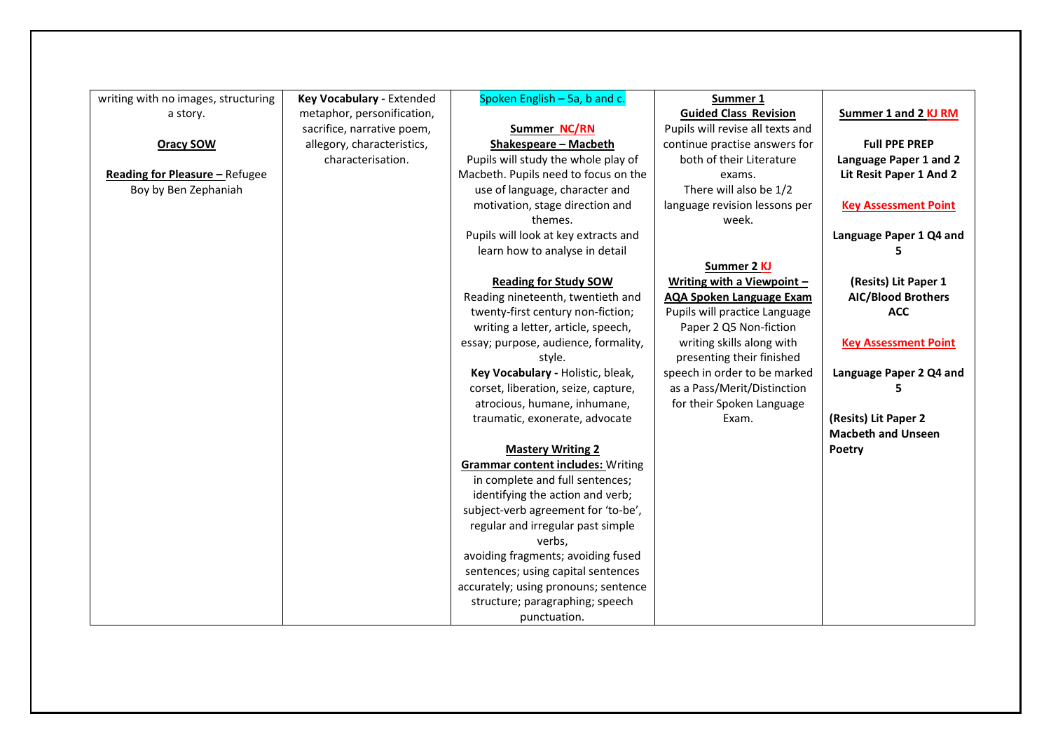| writing with no images, structuring | <b>Key Vocabulary - Extended</b> | Spoken English - 5a, b and c.            | Summer 1                         |                             |
|-------------------------------------|----------------------------------|------------------------------------------|----------------------------------|-----------------------------|
| a story.                            | metaphor, personification,       |                                          | <b>Guided Class Revision</b>     | Summer 1 and 2 KJ RM        |
|                                     | sacrifice, narrative poem,       | Summer NC/RN                             | Pupils will revise all texts and |                             |
| <b>Oracy SOW</b>                    | allegory, characteristics,       | <b>Shakespeare - Macbeth</b>             | continue practise answers for    | <b>Full PPE PREP</b>        |
|                                     | characterisation.                | Pupils will study the whole play of      | both of their Literature         | Language Paper 1 and 2      |
| Reading for Pleasure - Refugee      |                                  | Macbeth. Pupils need to focus on the     | exams.                           | Lit Resit Paper 1 And 2     |
| Boy by Ben Zephaniah                |                                  | use of language, character and           | There will also be 1/2           |                             |
|                                     |                                  | motivation, stage direction and          | language revision lessons per    | <b>Key Assessment Point</b> |
|                                     |                                  | themes.                                  | week.                            |                             |
|                                     |                                  | Pupils will look at key extracts and     |                                  | Language Paper 1 Q4 and     |
|                                     |                                  | learn how to analyse in detail           |                                  |                             |
|                                     |                                  |                                          | Summer 2 KJ                      |                             |
|                                     |                                  | <b>Reading for Study SOW</b>             | Writing with a Viewpoint -       | (Resits) Lit Paper 1        |
|                                     |                                  | Reading nineteenth, twentieth and        | <b>AQA Spoken Language Exam</b>  | <b>AIC/Blood Brothers</b>   |
|                                     |                                  | twenty-first century non-fiction;        | Pupils will practice Language    | <b>ACC</b>                  |
|                                     |                                  | writing a letter, article, speech,       | Paper 2 Q5 Non-fiction           |                             |
|                                     |                                  | essay; purpose, audience, formality,     | writing skills along with        | <b>Key Assessment Point</b> |
|                                     |                                  | style.                                   | presenting their finished        |                             |
|                                     |                                  | Key Vocabulary - Holistic, bleak,        | speech in order to be marked     | Language Paper 2 Q4 and     |
|                                     |                                  | corset, liberation, seize, capture,      | as a Pass/Merit/Distinction      | 5                           |
|                                     |                                  | atrocious, humane, inhumane,             | for their Spoken Language        |                             |
|                                     |                                  | traumatic, exonerate, advocate           | Exam.                            | (Resits) Lit Paper 2        |
|                                     |                                  |                                          |                                  | <b>Macbeth and Unseen</b>   |
|                                     |                                  | <b>Mastery Writing 2</b>                 |                                  | Poetry                      |
|                                     |                                  | <b>Grammar content includes: Writing</b> |                                  |                             |
|                                     |                                  | in complete and full sentences;          |                                  |                             |
|                                     |                                  | identifying the action and verb;         |                                  |                             |
|                                     |                                  | subject-verb agreement for 'to-be',      |                                  |                             |
|                                     |                                  | regular and irregular past simple        |                                  |                             |
|                                     |                                  | verbs.                                   |                                  |                             |
|                                     |                                  | avoiding fragments; avoiding fused       |                                  |                             |
|                                     |                                  |                                          |                                  |                             |
|                                     |                                  | sentences; using capital sentences       |                                  |                             |
|                                     |                                  | accurately; using pronouns; sentence     |                                  |                             |
|                                     |                                  | structure; paragraphing; speech          |                                  |                             |
|                                     |                                  | punctuation.                             |                                  |                             |